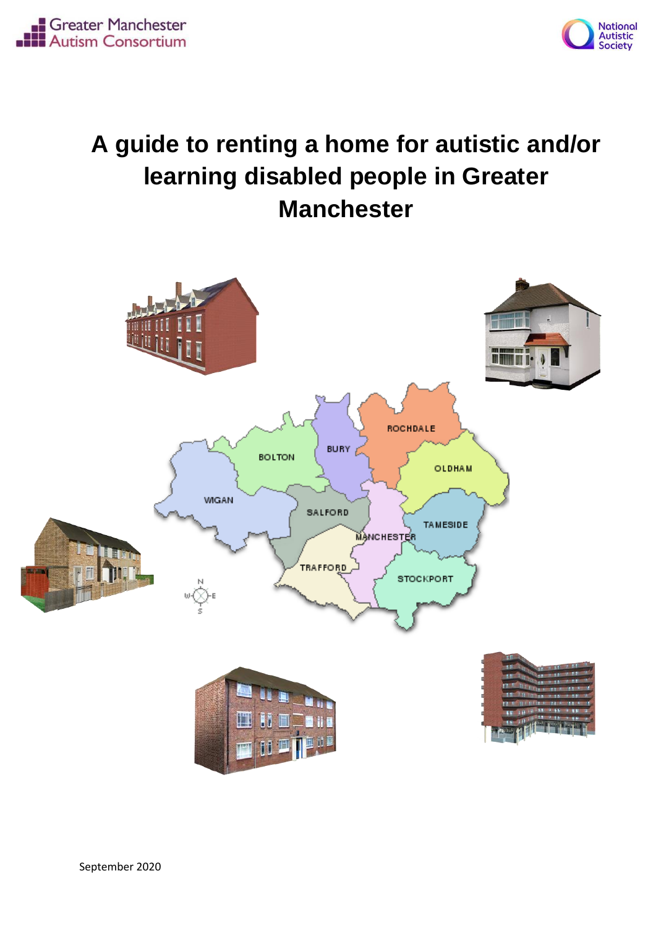



# **A guide to renting a home for autistic and/or learning disabled people in Greater Manchester**

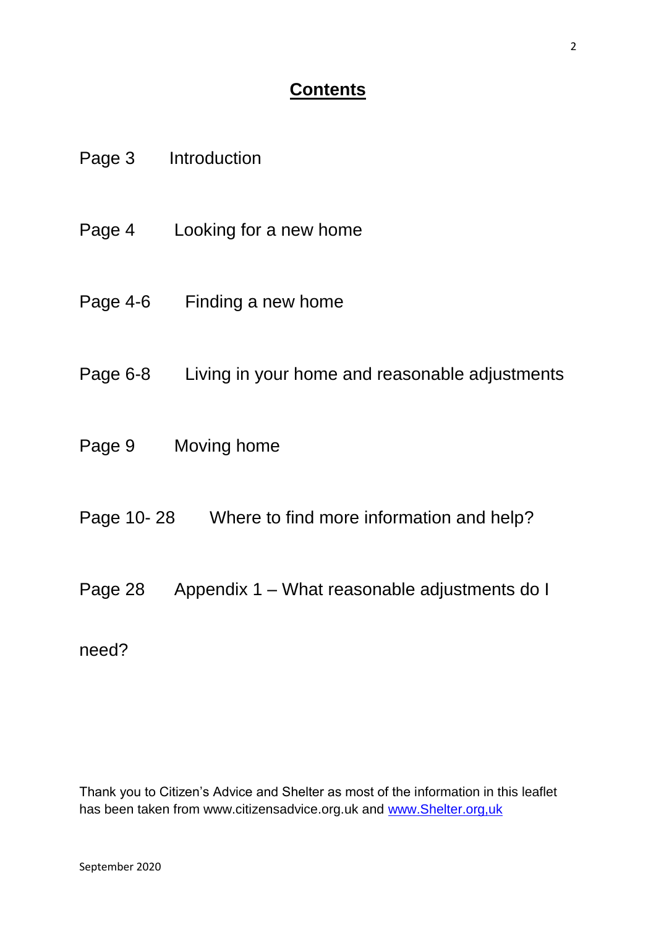#### **Contents**

|        | Page 3 Introduction                                     |
|--------|---------------------------------------------------------|
|        | Page 4 Looking for a new home                           |
|        | Page 4-6 Finding a new home                             |
|        | Page 6-8 Living in your home and reasonable adjustments |
| Page 9 | Moving home                                             |
|        | Page 10-28 Where to find more information and help?     |
|        | Page 28 Appendix 1 – What reasonable adjustments do I   |
| need?  |                                                         |

Thank you to Citizen's Advice and Shelter as most of the information in this leaflet has been taken from www.citizensadvice.org.uk and www.Shelter.org.uk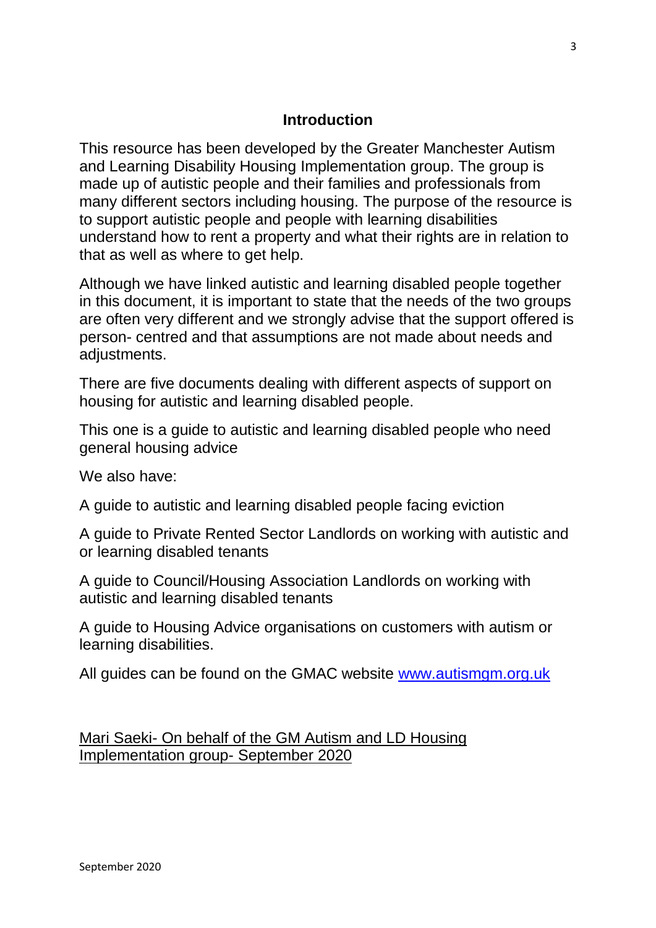#### **Introduction**

This resource has been developed by the Greater Manchester Autism and Learning Disability Housing Implementation group. The group is made up of autistic people and their families and professionals from many different sectors including housing. The purpose of the resource is to support autistic people and people with learning disabilities understand how to rent a property and what their rights are in relation to that as well as where to get help.

Although we have linked autistic and learning disabled people together in this document, it is important to state that the needs of the two groups are often very different and we strongly advise that the support offered is person- centred and that assumptions are not made about needs and adjustments.

There are five documents dealing with different aspects of support on housing for autistic and learning disabled people.

This one is a guide to autistic and learning disabled people who need general housing advice

We also have:

A guide to autistic and learning disabled people facing eviction

A guide to Private Rented Sector Landlords on working with autistic and or learning disabled tenants

A guide to Council/Housing Association Landlords on working with autistic and learning disabled tenants

A guide to Housing Advice organisations on customers with autism or learning disabilities.

All guides can be found on the GMAC website [www.autismgm.org.uk](http://www.autismgm.org.uk/)

Mari Saeki- On behalf of the GM Autism and LD Housing Implementation group- September 2020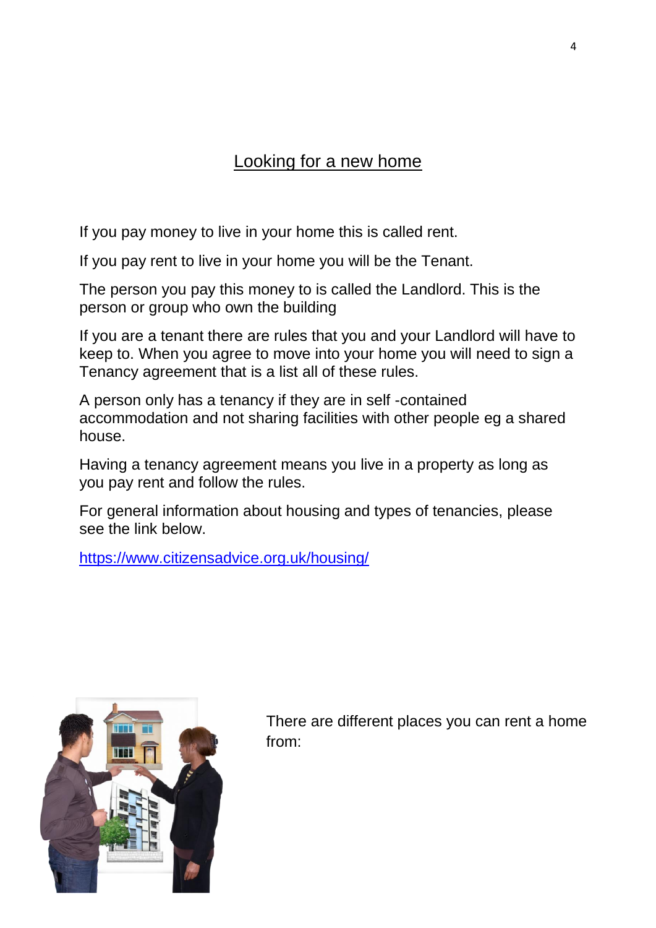### Looking for a new home

If you pay money to live in your home this is called rent.

If you pay rent to live in your home you will be the Tenant.

The person you pay this money to is called the Landlord. This is the person or group who own the building

If you are a tenant there are rules that you and your Landlord will have to keep to. When you agree to move into your home you will need to sign a Tenancy agreement that is a list all of these rules.

A person only has a tenancy if they are in self -contained accommodation and not sharing facilities with other people eg a shared house.

Having a tenancy agreement means you live in a property as long as you pay rent and follow the rules.

For general information about housing and types of tenancies, please see the link below.

<https://www.citizensadvice.org.uk/housing/>



There are different places you can rent a home from: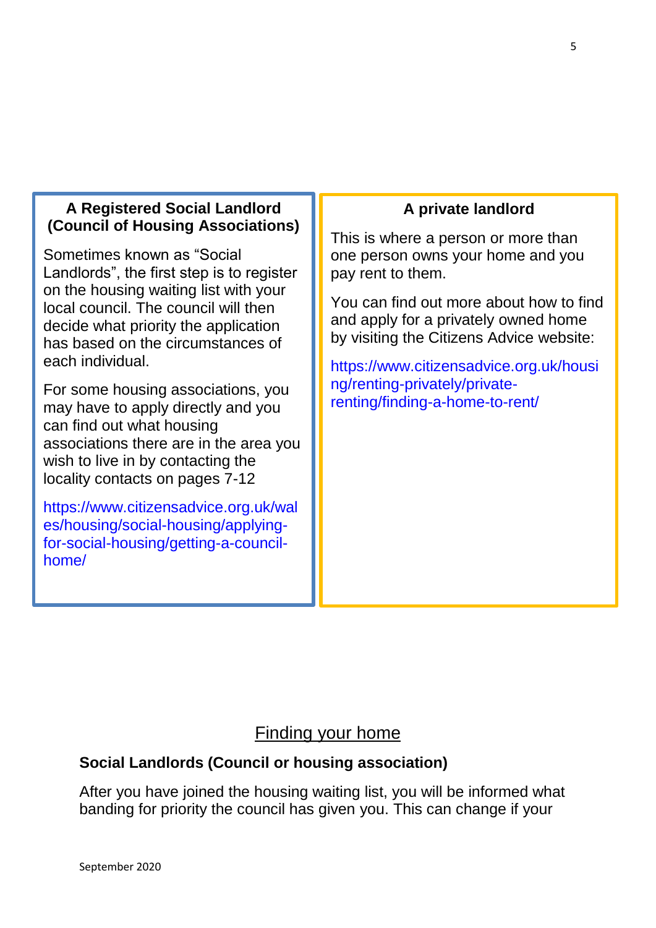#### **A Registered Social Landlord (Council of Housing Associations)**

Sometimes known as "Social Landlords", the first step is to register on the housing waiting list with your local council. The council will then decide what priority the application has based on the circumstances of each individual.

For some housing associations, you may have to apply directly and you can find out what housing associations there are in the area you wish to live in by contacting the locality contacts on pages 7-12

[https://www.citizensadvice.org.uk/wal](https://www.citizensadvice.org.uk/wales/housing/social-housing/applying-for-social-housing/getting-a-council-home/) [es/housing/social-housing/applying](https://www.citizensadvice.org.uk/wales/housing/social-housing/applying-for-social-housing/getting-a-council-home/)[for-social-housing/getting-a-council](https://www.citizensadvice.org.uk/wales/housing/social-housing/applying-for-social-housing/getting-a-council-home/)[home/](https://www.citizensadvice.org.uk/wales/housing/social-housing/applying-for-social-housing/getting-a-council-home/)

#### **A private landlord**

This is where a person or more than one person owns your home and you pay rent to them.

You can find out more about how to find and apply for a privately owned home by visiting the Citizens Advice website:

[https://www.citizensadvice.org.uk/housi](https://www.citizensadvice.org.uk/housing/renting-privately/private-renting/finding-a-home-to-rent/) [ng/renting-privately/private](https://www.citizensadvice.org.uk/housing/renting-privately/private-renting/finding-a-home-to-rent/)[renting/finding-a-home-to-rent/](https://www.citizensadvice.org.uk/housing/renting-privately/private-renting/finding-a-home-to-rent/)

#### Finding your home

#### **Social Landlords (Council or housing association)**

After you have joined the housing waiting list, you will be informed what banding for priority the council has given you. This can change if your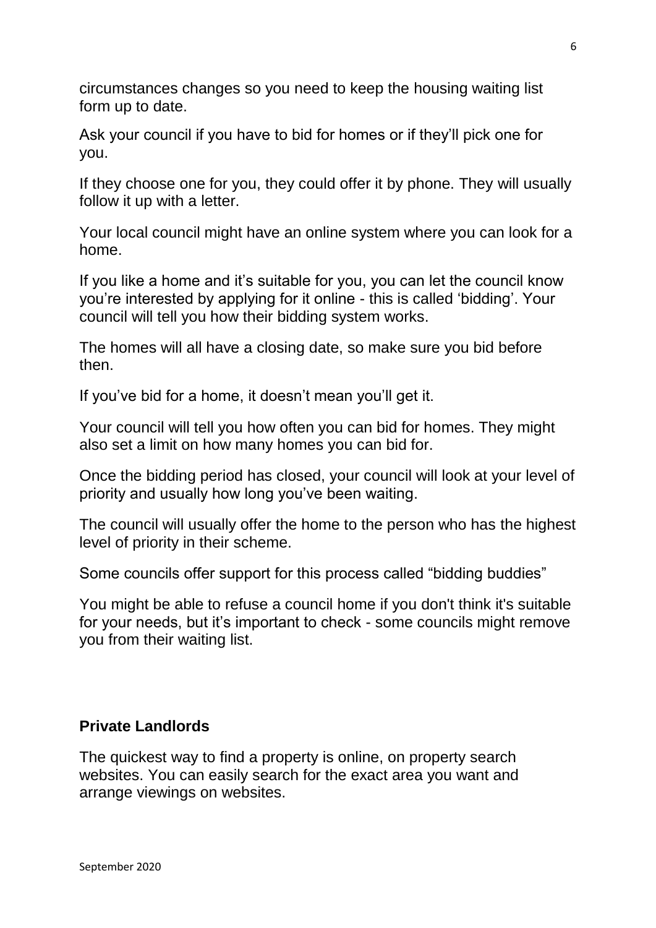circumstances changes so you need to keep the housing waiting list form up to date.

Ask your council if you have to bid for homes or if they'll pick one for you.

If they choose one for you, they could offer it by phone. They will usually follow it up with a letter.

Your local council might have an online system where you can look for a home.

If you like a home and it's suitable for you, you can let the council know you're interested by applying for it online - this is called 'bidding'. Your council will tell you how their bidding system works.

The homes will all have a closing date, so make sure you bid before then.

If you've bid for a home, it doesn't mean you'll get it.

Your council will tell you how often you can bid for homes. They might also set a limit on how many homes you can bid for.

Once the bidding period has closed, your council will look at your level of priority and usually how long you've been waiting.

The council will usually offer the home to the person who has the highest level of priority in their scheme.

Some councils offer support for this process called "bidding buddies"

You might be able to refuse a council home if you don't think it's suitable for your needs, but it's important to check - some councils might remove you from their waiting list.

#### **Private Landlords**

The quickest way to find a property is online, on property search websites. You can easily search for the exact area you want and arrange viewings on websites.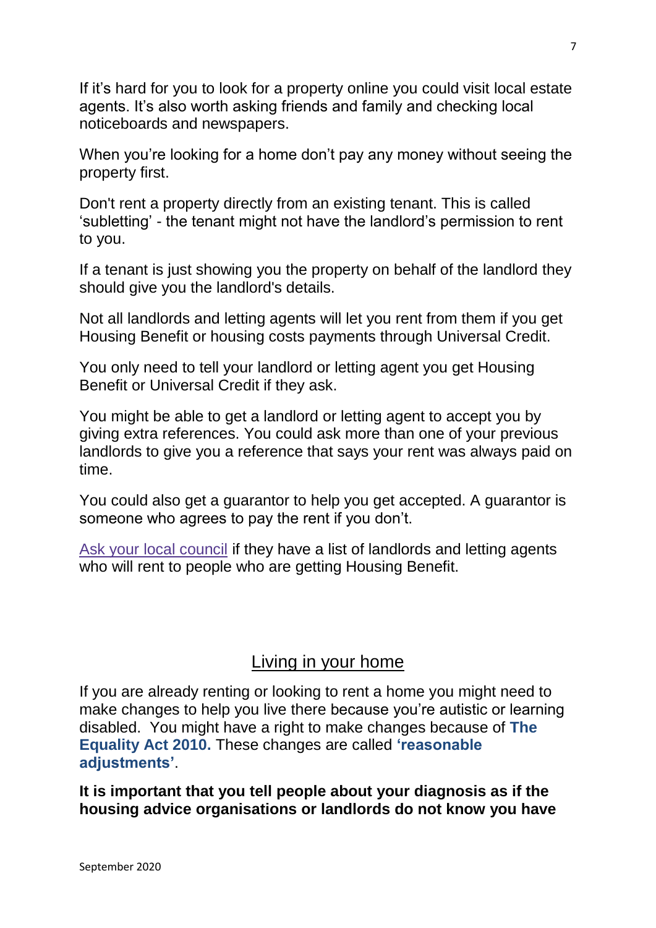If it's hard for you to look for a property online you could visit local estate agents. It's also worth asking friends and family and checking local noticeboards and newspapers.

When you're looking for a home don't pay any money without seeing the property first.

Don't rent a property directly from an existing tenant. This is called 'subletting' - the tenant might not have the landlord's permission to rent to you.

If a tenant is just showing you the property on behalf of the landlord they should give you the landlord's details.

Not all landlords and letting agents will let you rent from them if you get Housing Benefit or housing costs payments through Universal Credit.

You only need to tell your landlord or letting agent you get Housing Benefit or Universal Credit if they ask.

You might be able to get a landlord or letting agent to accept you by giving extra references. You could ask more than one of your previous landlords to give you a reference that says your rent was always paid on time.

You could also get a guarantor to help you get accepted. A guarantor is someone who agrees to pay the rent if you don't.

[Ask your local council](https://www.gov.uk/find-local-council) if they have a list of landlords and letting agents who will rent to people who are getting Housing Benefit.

#### Living in your home

If you are already renting or looking to rent a home you might need to make changes to help you live there because you're autistic or learning disabled. You might have a right to make changes because of **The Equality Act 2010.** These changes are called **'reasonable adjustments'**.

**It is important that you tell people about your diagnosis as if the housing advice organisations or landlords do not know you have**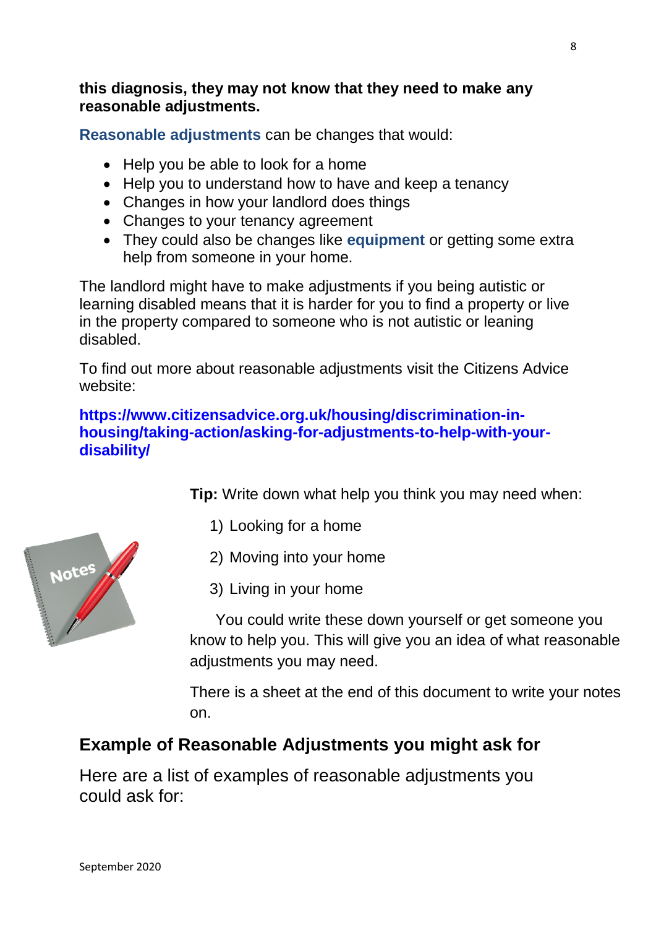#### **this diagnosis, they may not know that they need to make any reasonable adjustments.**

**Reasonable adjustments** can be changes that would:

- Help you be able to look for a home
- Help you to understand how to have and keep a tenancy
- Changes in how your landlord does things
- Changes to your tenancy agreement
- They could also be changes like **equipment** or getting some extra help from someone in your home.

The landlord might have to make adjustments if you being autistic or learning disabled means that it is harder for you to find a property or live in the property compared to someone who is not autistic or leaning disabled.

To find out more about reasonable adjustments visit the Citizens Advice website:

#### **[https://www.citizensadvice.org.uk/housing/discrimination-in](https://www.citizensadvice.org.uk/housing/discrimination-in-housing/taking-action/asking-for-adjustments-to-help-with-your-disability/)[housing/taking-action/asking-for-adjustments-to-help-with-your](https://www.citizensadvice.org.uk/housing/discrimination-in-housing/taking-action/asking-for-adjustments-to-help-with-your-disability/)[disability/](https://www.citizensadvice.org.uk/housing/discrimination-in-housing/taking-action/asking-for-adjustments-to-help-with-your-disability/)**

**Tip:** Write down what help you think you may need when:

- 1) Looking for a home
- 2) Moving into your home
- 3) Living in your home

 You could write these down yourself or get someone you know to help you. This will give you an idea of what reasonable adjustments you may need.

There is a sheet at the end of this document to write your notes on.

### **Example of Reasonable Adjustments you might ask for**

Here are a list of examples of reasonable adjustments you could ask for:

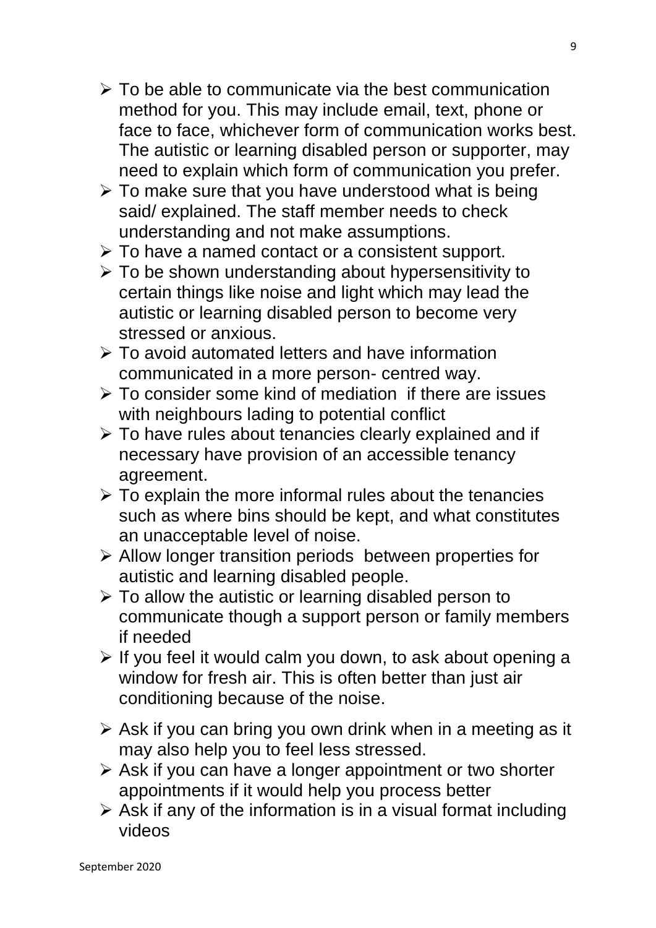- $\triangleright$  To be able to communicate via the best communication method for you. This may include email, text, phone or face to face, whichever form of communication works best. The autistic or learning disabled person or supporter, may need to explain which form of communication you prefer.
- $\triangleright$  To make sure that you have understood what is being said/ explained. The staff member needs to check understanding and not make assumptions.
- $\triangleright$  To have a named contact or a consistent support.
- $\triangleright$  To be shown understanding about hypersensitivity to certain things like noise and light which may lead the autistic or learning disabled person to become very stressed or anxious.
- $\triangleright$  To avoid automated letters and have information communicated in a more person- centred way.
- $\triangleright$  To consider some kind of mediation if there are issues with neighbours lading to potential conflict
- > To have rules about tenancies clearly explained and if necessary have provision of an accessible tenancy agreement.
- $\triangleright$  To explain the more informal rules about the tenancies such as where bins should be kept, and what constitutes an unacceptable level of noise.
- $\triangleright$  Allow longer transition periods between properties for autistic and learning disabled people.
- $\triangleright$  To allow the autistic or learning disabled person to communicate though a support person or family members if needed
- $\triangleright$  If you feel it would calm you down, to ask about opening a window for fresh air. This is often better than just air conditioning because of the noise.
- $\triangleright$  Ask if you can bring you own drink when in a meeting as it may also help you to feel less stressed.
- $\triangleright$  Ask if you can have a longer appointment or two shorter appointments if it would help you process better
- $\triangleright$  Ask if any of the information is in a visual format including videos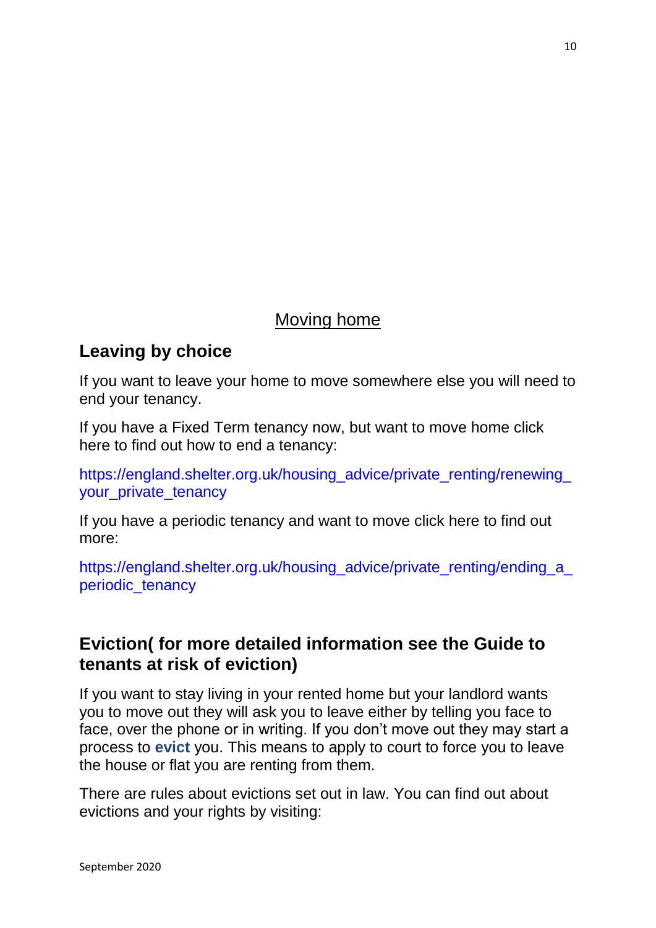### Moving home

### **Leaving by choice**

If you want to leave your home to move somewhere else you will need to end your tenancy.

If you have a Fixed Term tenancy now, but want to move home click here to find out how to end a tenancy:

https://england.shelter.org.uk/housing\_advice/private\_renting/renewing [your\\_private\\_tenancy](https://england.shelter.org.uk/housing_advice/private_renting/renewing_your_private_tenancy)

If you have a periodic tenancy and want to move click here to find out more:

https://england.shelter.org.uk/housing\_advice/private\_renting/ending\_a [periodic\\_tenancy](https://england.shelter.org.uk/housing_advice/private_renting/ending_a_periodic_tenancy)

### **Eviction( for more detailed information see the Guide to tenants at risk of eviction)**

If you want to stay living in your rented home but your landlord wants you to move out they will ask you to leave either by telling you face to face, over the phone or in writing. If you don't move out they may start a process to **evict** you. This means to apply to court to force you to leave the house or flat you are renting from them.

There are rules about evictions set out in law. You can find out about evictions and your rights by visiting: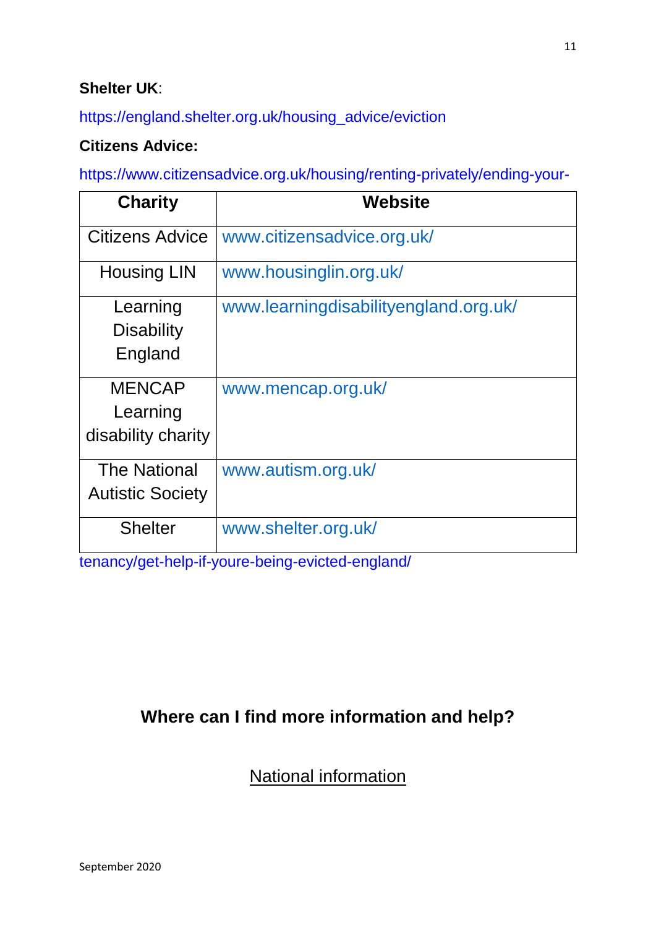#### **Shelter UK**:

[https://england.shelter.org.uk/housing\\_advice/eviction](https://england.shelter.org.uk/housing_advice/eviction)

#### **Citizens Advice:**

[https://www.citizensadvice.org.uk/housing/renting-privately/ending-your-](https://www.citizensadvice.org.uk/housing/renting-privately/ending-your-tenancy/get-help-if-youre-being-evicted-england/)

| <b>Charity</b>                                  | <b>Website</b>                        |
|-------------------------------------------------|---------------------------------------|
| Citizens Advice                                 | www.citizensadvice.org.uk/            |
| <b>Housing LIN</b>                              | www.housinglin.org.uk/                |
| Learning<br><b>Disability</b><br>England        | www.learningdisabilityengland.org.uk/ |
| <b>MENCAP</b><br>Learning<br>disability charity | www.mencap.org.uk/                    |
| <b>The National</b><br><b>Autistic Society</b>  | www.autism.org.uk/                    |
| <b>Shelter</b>                                  | www.shelter.org.uk/                   |

[tenancy/get-help-if-youre-being-evicted-england/](https://www.citizensadvice.org.uk/housing/renting-privately/ending-your-tenancy/get-help-if-youre-being-evicted-england/)

### **Where can I find more information and help?**

National information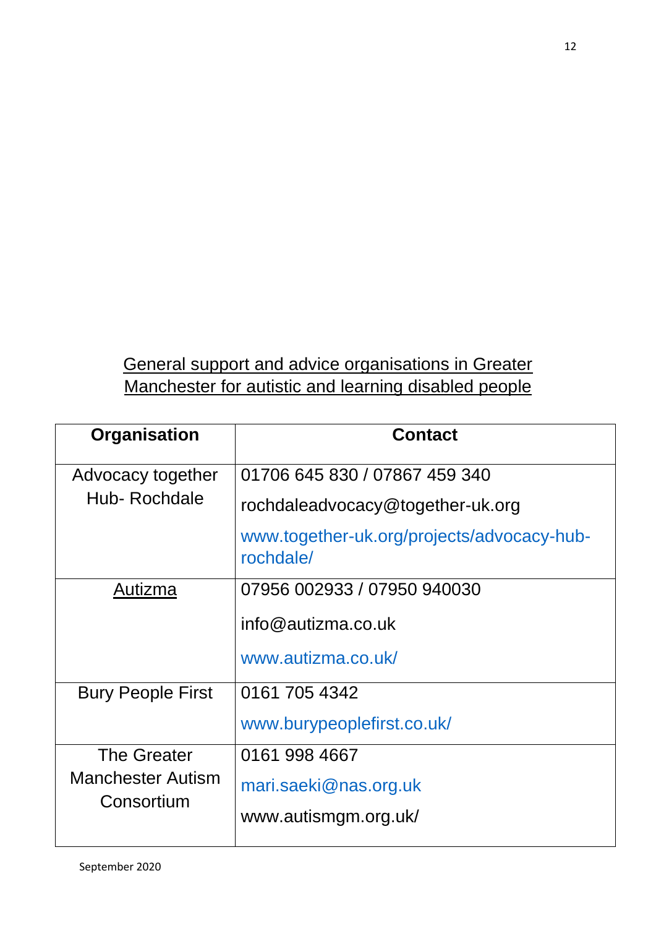# General support and advice organisations in Greater Manchester for autistic and learning disabled people

| Organisation                           | <b>Contact</b>                                          |
|----------------------------------------|---------------------------------------------------------|
| Advocacy together                      | 01706 645 830 / 07867 459 340                           |
| Hub-Rochdale                           | rochdaleadvocacy@together-uk.org                        |
|                                        | www.together-uk.org/projects/advocacy-hub-<br>rochdale/ |
| Autizma                                | 07956 002933 / 07950 940030                             |
|                                        | $info@$ autizma.co.uk                                   |
|                                        | www.autizma.co.uk/                                      |
| <b>Bury People First</b>               | 0161 705 4342                                           |
|                                        | www.burypeoplefirst.co.uk/                              |
| <b>The Greater</b>                     | 0161 998 4667                                           |
| <b>Manchester Autism</b><br>Consortium | mari.saeki@nas.org.uk                                   |
|                                        | www.autismgm.org.uk/                                    |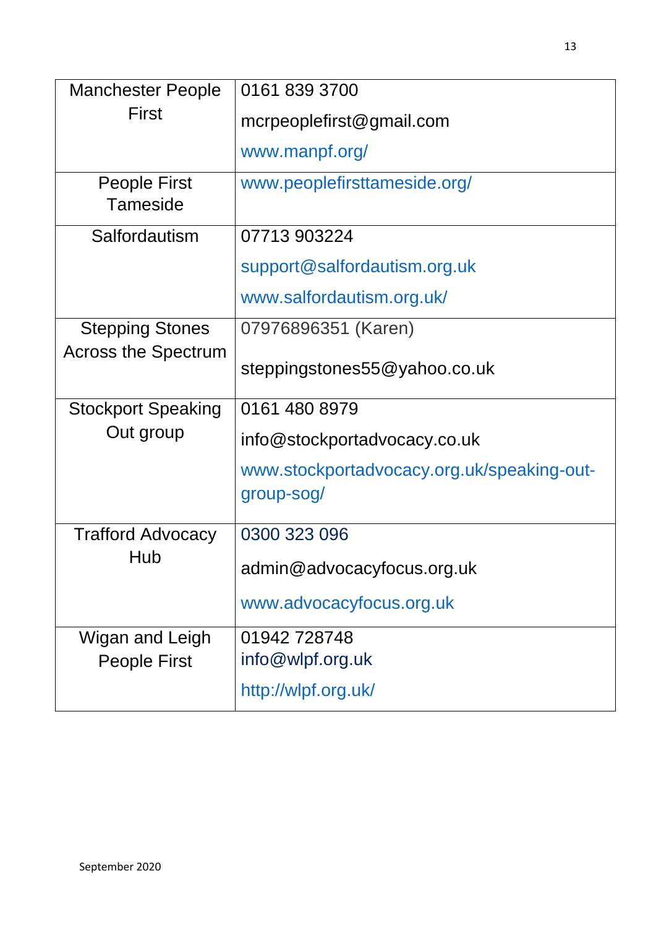| <b>Manchester People</b>   | 0161 839 3700                              |
|----------------------------|--------------------------------------------|
| First                      | mcrpeoplefirst@gmail.com                   |
|                            | www.manpf.org/                             |
| <b>People First</b>        | www.peoplefirsttameside.org/               |
| <b>Tameside</b>            |                                            |
| Salfordautism              | 07713 903224                               |
|                            | support@salfordautism.org.uk               |
|                            | www.salfordautism.org.uk/                  |
| <b>Stepping Stones</b>     | 07976896351 (Karen)                        |
| <b>Across the Spectrum</b> | steppingstones55@yahoo.co.uk               |
|                            |                                            |
| <b>Stockport Speaking</b>  | 0161 480 8979                              |
| Out group                  | info@stockportadvocacy.co.uk               |
|                            | www.stockportadvocacy.org.uk/speaking-out- |
|                            | group-sog/                                 |
| <b>Trafford Advocacy</b>   | 0300 323 096                               |
| Hub                        | admin@advocacyfocus.org.uk                 |
|                            | www.advocacyfocus.org.uk                   |
| Wigan and Leigh            | 01942728748                                |
| People First               | info@wlpf.org.uk                           |
|                            | http://wlpf.org.uk/                        |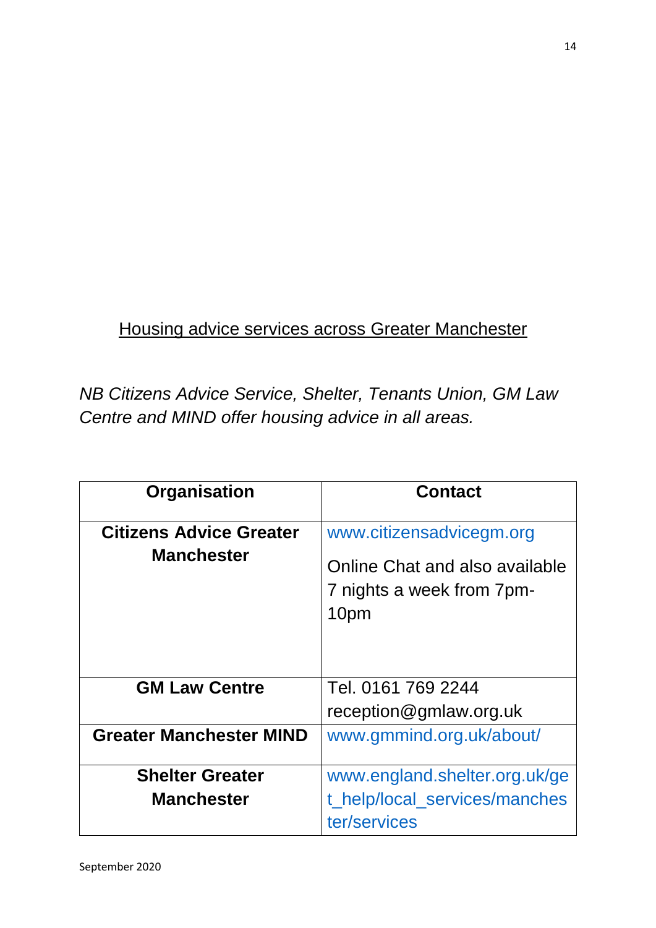# Housing advice services across Greater Manchester

*NB Citizens Advice Service, Shelter, Tenants Union, GM Law Centre and MIND offer housing advice in all areas.* 

| Organisation                                        | <b>Contact</b>                                                                                  |
|-----------------------------------------------------|-------------------------------------------------------------------------------------------------|
| <b>Citizens Advice Greater</b><br><b>Manchester</b> | www.citizensadvicegm.org<br>Online Chat and also available<br>7 nights a week from 7pm-<br>10pm |
| <b>GM Law Centre</b>                                | Tel. 0161 769 2244<br>reception@gmlaw.org.uk                                                    |
| <b>Greater Manchester MIND</b>                      | www.gmmind.org.uk/about/                                                                        |
| <b>Shelter Greater</b><br><b>Manchester</b>         | www.england.shelter.org.uk/ge<br>t_help/local_services/manches<br>ter/services                  |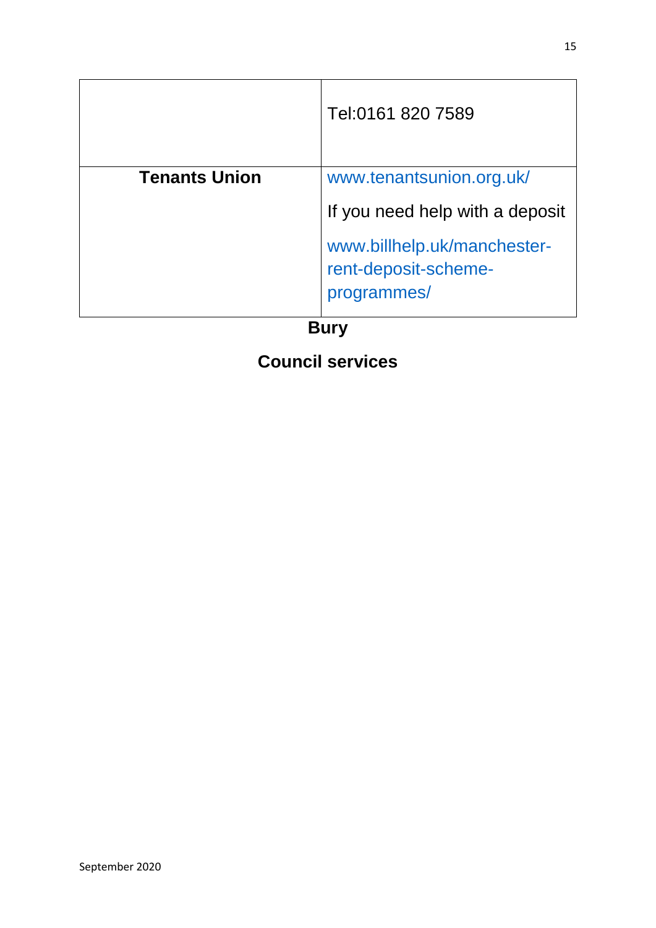|                      | Tel:0161 820 7589                                                  |
|----------------------|--------------------------------------------------------------------|
| <b>Tenants Union</b> | www.tenantsunion.org.uk/                                           |
|                      | If you need help with a deposit                                    |
|                      | www.billhelp.uk/manchester-<br>rent-deposit-scheme-<br>programmes/ |
| <b>Bury</b>          |                                                                    |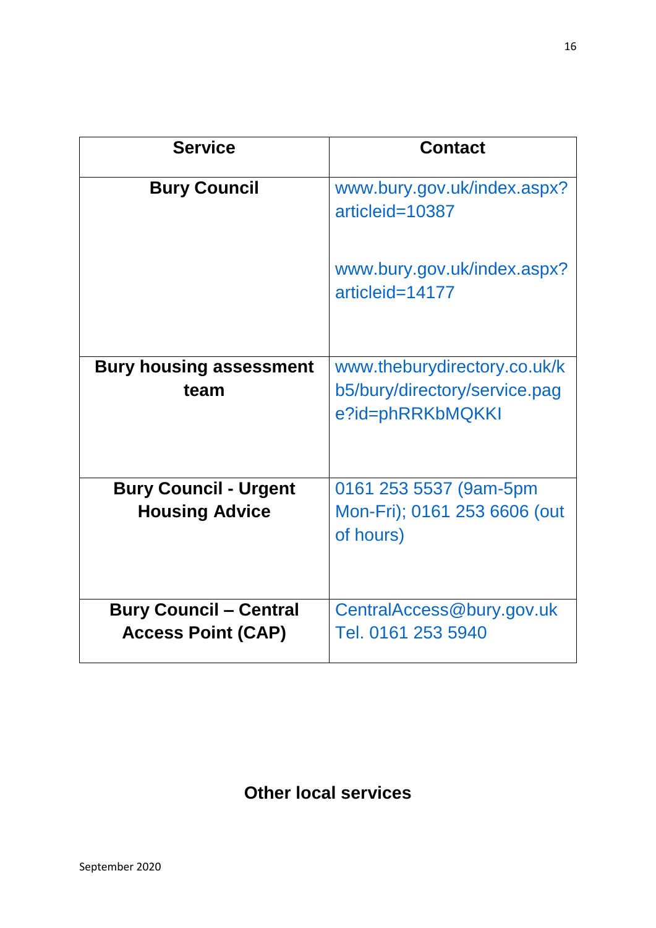| <b>Service</b>                         | <b>Contact</b>                                                                    |
|----------------------------------------|-----------------------------------------------------------------------------------|
| <b>Bury Council</b>                    | www.bury.gov.uk/index.aspx?<br>articleid=10387                                    |
|                                        | www.bury.gov.uk/index.aspx?<br>articleid=14177                                    |
| <b>Bury housing assessment</b><br>team | www.theburydirectory.co.uk/k<br>b5/bury/directory/service.pag<br>e?id=phRRKbMQKKI |
| <b>Bury Council - Urgent</b>           | 0161 253 5537 (9am-5pm                                                            |
| <b>Housing Advice</b>                  | Mon-Fri); 0161 253 6606 (out<br>of hours)                                         |
| <b>Bury Council - Central</b>          | CentralAccess@bury.gov.uk                                                         |
| <b>Access Point (CAP)</b>              | Tel. 0161 253 5940                                                                |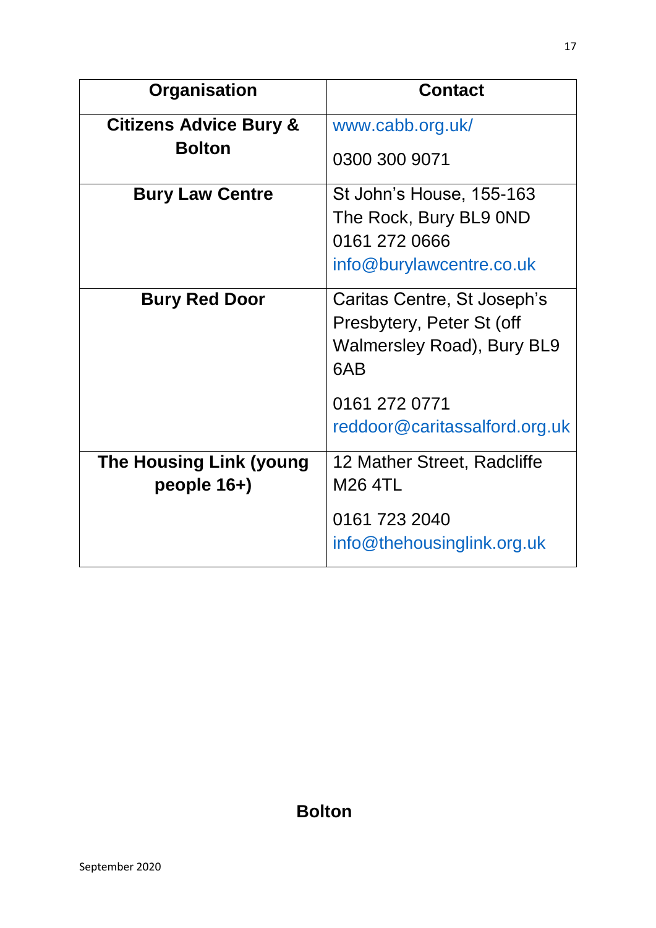| <b>Organisation</b>                           | <b>Contact</b>                                                                                       |
|-----------------------------------------------|------------------------------------------------------------------------------------------------------|
| <b>Citizens Advice Bury &amp;</b>             | www.cabb.org.uk/                                                                                     |
| <b>Bolton</b>                                 | 0300 300 9071                                                                                        |
| <b>Bury Law Centre</b>                        | St John's House, 155-163<br>The Rock, Bury BL9 0ND<br>0161 272 0666<br>info@burylawcentre.co.uk      |
| <b>Bury Red Door</b>                          | Caritas Centre, St Joseph's<br>Presbytery, Peter St (off<br><b>Walmersley Road), Bury BL9</b><br>6AB |
|                                               | 0161 272 0771<br>reddoor@caritassalford.org.uk                                                       |
| <b>The Housing Link (young</b><br>people 16+) | 12 Mather Street, Radcliffe<br><b>M26 4TL</b>                                                        |
|                                               | 0161 723 2040<br>info@thehousinglink.org.uk                                                          |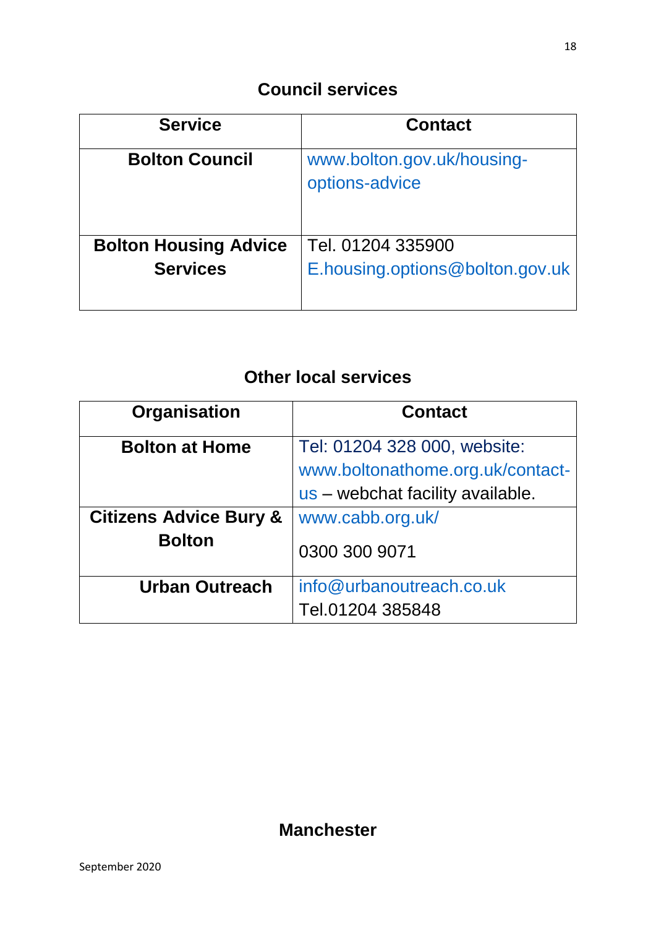| <b>Service</b>               | <b>Contact</b>                               |
|------------------------------|----------------------------------------------|
| <b>Bolton Council</b>        | www.bolton.gov.uk/housing-<br>options-advice |
| <b>Bolton Housing Advice</b> | Tel. 01204 335900                            |
| <b>Services</b>              | E.housing.options@bolton.gov.uk              |

# **Other local services**

| Organisation                                       | <b>Contact</b>                                                                                       |
|----------------------------------------------------|------------------------------------------------------------------------------------------------------|
| <b>Bolton at Home</b>                              | Tel: 01204 328 000, website:<br>www.boltonathome.org.uk/contact-<br>us – webchat facility available. |
| <b>Citizens Advice Bury &amp;</b><br><b>Bolton</b> | www.cabb.org.uk/<br>0300 300 9071                                                                    |
| <b>Urban Outreach</b>                              | info@urbanoutreach.co.uk<br>Tel.01204 385848                                                         |

### **Manchester**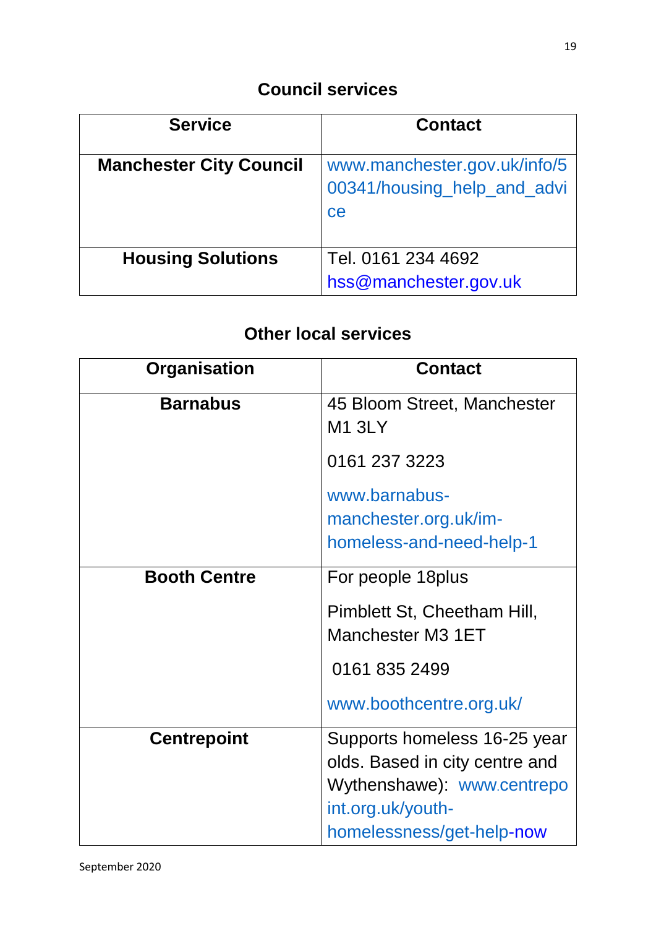| <b>Service</b>                 | <b>Contact</b>                                                    |
|--------------------------------|-------------------------------------------------------------------|
| <b>Manchester City Council</b> | www.manchester.gov.uk/info/5<br>00341/housing_help_and_advi<br>ce |
| <b>Housing Solutions</b>       | Tel. 0161 234 4692<br>hss@manchester.gov.uk                       |

| <b>Organisation</b> | <b>Contact</b>                                                                                                   |
|---------------------|------------------------------------------------------------------------------------------------------------------|
| <b>Barnabus</b>     | 45 Bloom Street, Manchester<br><b>M1 3LY</b>                                                                     |
|                     | 0161 237 3223                                                                                                    |
|                     | www.barnabus-<br>manchester.org.uk/im-<br>homeless-and-need-help-1                                               |
| <b>Booth Centre</b> | For people 18plus                                                                                                |
|                     | Pimblett St, Cheetham Hill,<br>Manchester M3 1ET                                                                 |
|                     | 0161 835 2499                                                                                                    |
|                     | www.boothcentre.org.uk/                                                                                          |
| <b>Centrepoint</b>  | Supports homeless 16-25 year<br>olds. Based in city centre and<br>Wythenshawe) www.centrepo<br>int.org.uk/youth- |
|                     | homelessness/get-help-now                                                                                        |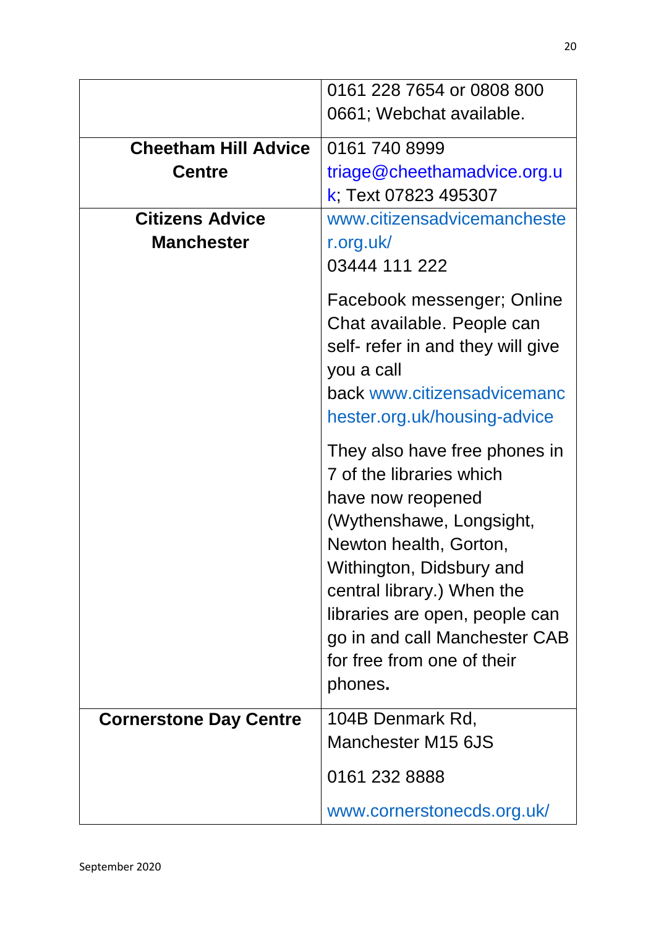|                               | 0161 228 7654 or 0808 800         |
|-------------------------------|-----------------------------------|
|                               | 0661; Webchat available.          |
|                               |                                   |
| <b>Cheetham Hill Advice</b>   | 0161 740 8999                     |
| <b>Centre</b>                 | triage@cheethamadvice.org.u       |
|                               | k; Text 07823 495307              |
| <b>Citizens Advice</b>        | www.citizensadvicemancheste       |
| <b>Manchester</b>             | r.org.uk/                         |
|                               | 03444 111 222                     |
|                               |                                   |
|                               | Facebook messenger; Online        |
|                               | Chat available. People can        |
|                               | self- refer in and they will give |
|                               | you a call                        |
|                               | back www.citizensadvicemanc       |
|                               | hester.org.uk/housing-advice      |
|                               | They also have free phones in     |
|                               | 7 of the libraries which          |
|                               |                                   |
|                               | have now reopened                 |
|                               | (Wythenshawe, Longsight,          |
|                               | Newton health, Gorton,            |
|                               | Withington, Didsbury and          |
|                               | central library.) When the        |
|                               | libraries are open, people can    |
|                               | go in and call Manchester CAB     |
|                               | for free from one of their        |
|                               | phones.                           |
| <b>Cornerstone Day Centre</b> | 104B Denmark Rd,                  |
|                               | Manchester M15 6JS                |
|                               |                                   |
|                               | 0161 232 8888                     |
|                               | www.cornerstonecds.org.uk/        |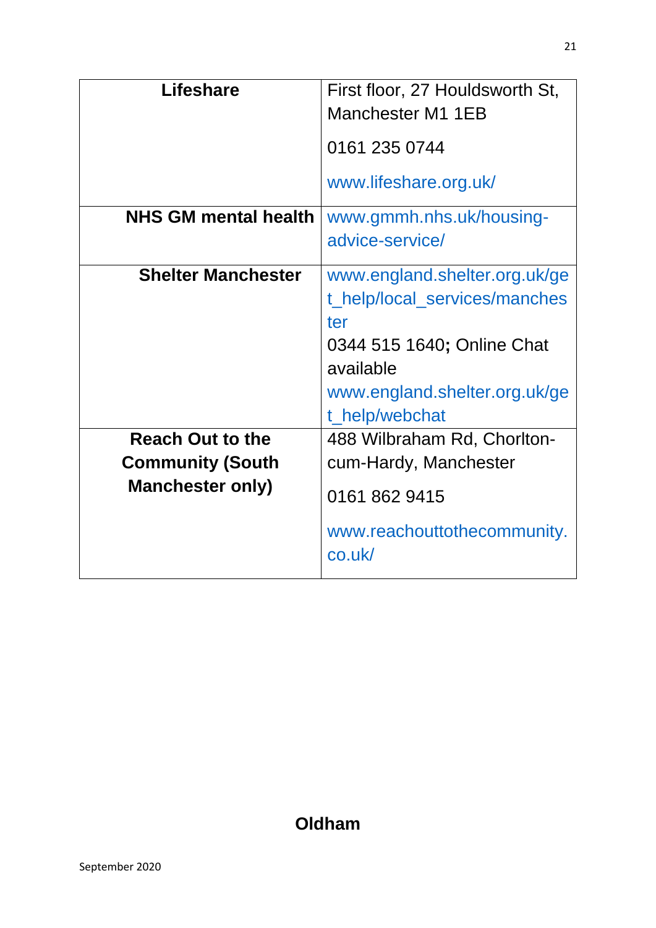| <b>Lifeshare</b>                                                              | First floor, 27 Houldsworth St,<br>Manchester M1 1EB                                                                                                                |
|-------------------------------------------------------------------------------|---------------------------------------------------------------------------------------------------------------------------------------------------------------------|
|                                                                               | 0161 235 0744                                                                                                                                                       |
|                                                                               | www.lifeshare.org.uk/                                                                                                                                               |
| <b>NHS GM mental health</b>                                                   | www.gmmh.nhs.uk/housing-<br>advice-service/                                                                                                                         |
| <b>Shelter Manchester</b>                                                     | www.england.shelter.org.uk/ge<br>t_help/local_services/manches<br>ter<br>0344 515 1640; Online Chat<br>available<br>www.england.shelter.org.uk/ge<br>t_help/webchat |
| <b>Reach Out to the</b><br><b>Community (South</b><br><b>Manchester only)</b> | 488 Wilbraham Rd, Chorlton-<br>cum-Hardy, Manchester<br>0161 862 9415<br>www.reachouttothecommunity.<br>co.uk/                                                      |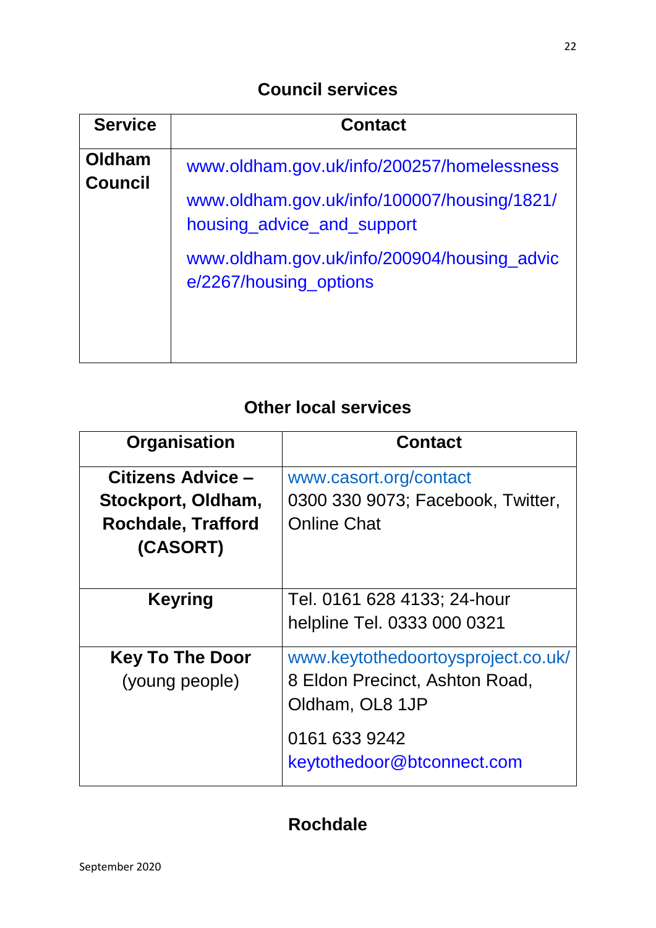| <b>Service</b>           | <b>Contact</b>                                                                                                          |
|--------------------------|-------------------------------------------------------------------------------------------------------------------------|
| Oldham<br><b>Council</b> | www.oldham.gov.uk/info/200257/homelessness<br>www.oldham.gov.uk/info/100007/housing/1821/<br>housing_advice_and_support |
|                          | www.oldham.gov.uk/info/200904/housing_advic<br>e/2267/housing_options                                                   |

# **Other local services**

| Organisation              | <b>Contact</b>                     |
|---------------------------|------------------------------------|
| Citizens Advice -         | www.casort.org/contact             |
| Stockport, Oldham,        | 0300 330 9073; Facebook, Twitter,  |
| <b>Rochdale, Trafford</b> | <b>Online Chat</b>                 |
| (CASORT)                  |                                    |
|                           |                                    |
| <b>Keyring</b>            | Tel. 0161 628 4133; 24-hour        |
|                           | helpline Tel. 0333 000 0321        |
| <b>Key To The Door</b>    | www.keytothedoortoysproject.co.uk/ |
| (young people)            | 8 Eldon Precinct, Ashton Road,     |
|                           | Oldham, OL8 1JP                    |
|                           | 0161 633 9242                      |
|                           | keytothedoor@btconnect.com         |

# **Rochdale**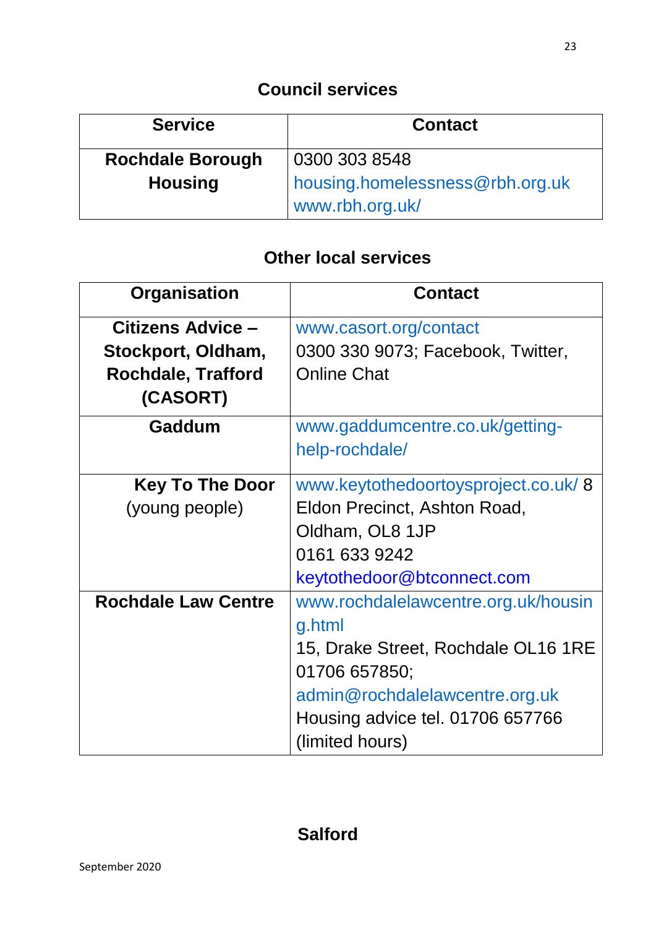| <b>Service</b>          | <b>Contact</b>                                     |
|-------------------------|----------------------------------------------------|
| <b>Rochdale Borough</b> | 0300 303 8548                                      |
| <b>Housing</b>          | housing.homelessness@rbh.org.uk<br>www.rbh.org.uk/ |

| Organisation               | <b>Contact</b>                      |
|----------------------------|-------------------------------------|
| Citizens Advice -          | www.casort.org/contact              |
| Stockport, Oldham,         | 0300 330 9073; Facebook, Twitter,   |
| <b>Rochdale, Trafford</b>  | <b>Online Chat</b>                  |
| (CASORT)                   |                                     |
| Gaddum                     | www.gaddumcentre.co.uk/getting-     |
|                            | help-rochdale/                      |
| <b>Key To The Door</b>     | www.keytothedoortoysproject.co.uk/8 |
| (young people)             | Eldon Precinct, Ashton Road,        |
|                            | Oldham, OL8 1JP                     |
|                            | 0161 633 9242                       |
|                            | keytothedoor@btconnect.com          |
| <b>Rochdale Law Centre</b> | www.rochdalelawcentre.org.uk/housin |
|                            | g.html                              |
|                            | 15, Drake Street, Rochdale OL16 1RE |
|                            | 01706 657850;                       |
|                            | admin@rochdalelawcentre.org.uk      |
|                            | Housing advice tel. 01706 657766    |
|                            | (limited hours)                     |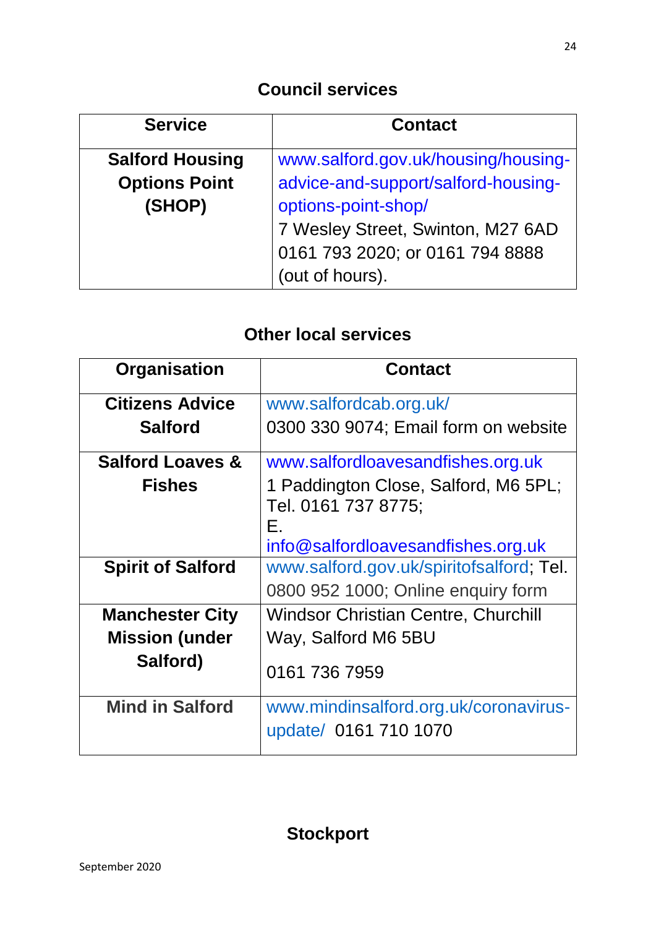| <b>Service</b>         | <b>Contact</b>                      |
|------------------------|-------------------------------------|
| <b>Salford Housing</b> | www.salford.gov.uk/housing/housing- |
| <b>Options Point</b>   | advice-and-support/salford-housing- |
| (SHOP)                 | options-point-shop/                 |
|                        | 7 Wesley Street, Swinton, M27 6AD   |
|                        | 0161 793 2020; or 0161 794 8888     |
|                        | (out of hours).                     |

| Organisation                | <b>Contact</b>                                                    |
|-----------------------------|-------------------------------------------------------------------|
| <b>Citizens Advice</b>      | www.salfordcab.org.uk/                                            |
| <b>Salford</b>              | 0300 330 9074; Email form on website                              |
| <b>Salford Loaves &amp;</b> | www.salfordloavesandfishes.org.uk                                 |
| <b>Fishes</b>               | 1 Paddington Close, Salford, M6 5PL;<br>Tel. 0161 737 8775;<br>Е. |
|                             | info@salfordloavesandfishes.org.uk                                |
| <b>Spirit of Salford</b>    | www.salford.gov.uk/spiritofsalford; Tel.                          |
|                             | 0800 952 1000; Online enquiry form                                |
| <b>Manchester City</b>      | <b>Windsor Christian Centre, Churchill</b>                        |
| <b>Mission (under</b>       | Way, Salford M6 5BU                                               |
| Salford)                    | 0161 736 7959                                                     |
| <b>Mind in Salford</b>      | www.mindinsalford.org.uk/coronavirus-                             |
|                             | update/ 0161 710 1070                                             |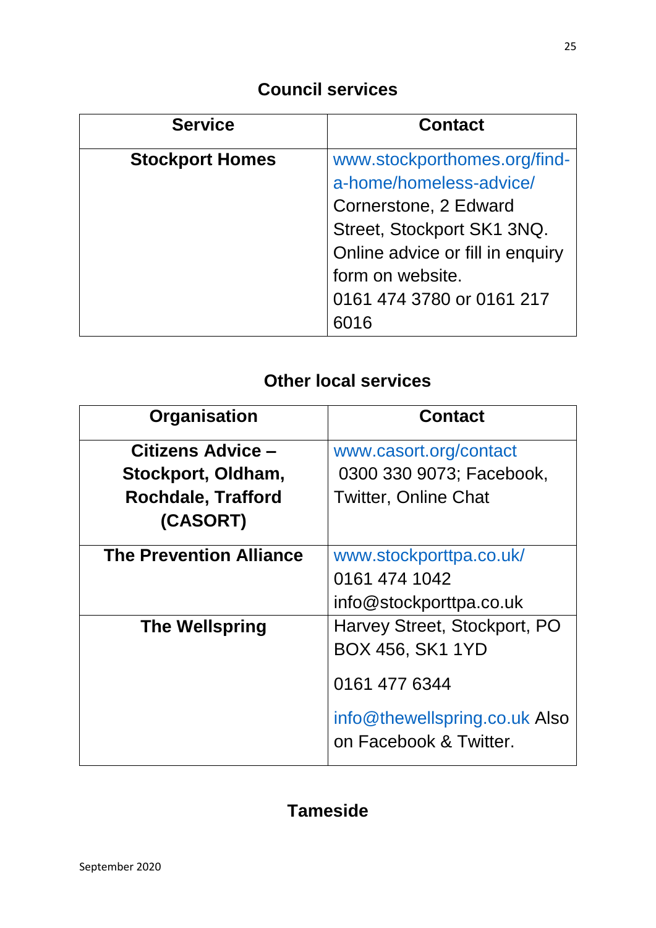| <b>Service</b>         | <b>Contact</b>                   |
|------------------------|----------------------------------|
| <b>Stockport Homes</b> | www.stockporthomes.org/find-     |
|                        | a-home/homeless-advice/          |
|                        | Cornerstone, 2 Edward            |
|                        | Street, Stockport SK1 3NQ.       |
|                        | Online advice or fill in enquiry |
|                        | form on website.                 |
|                        | 0161 474 3780 or 0161 217        |
|                        |                                  |

# **Other local services**

| Organisation                   | <b>Contact</b>                                          |
|--------------------------------|---------------------------------------------------------|
| Citizens Advice -              | www.casort.org/contact                                  |
| Stockport, Oldham,             | 0300 330 9073; Facebook,                                |
| <b>Rochdale, Trafford</b>      | <b>Twitter, Online Chat</b>                             |
| (CASORT)                       |                                                         |
| <b>The Prevention Alliance</b> | www.stockporttpa.co.uk/                                 |
|                                | 0161 474 1042                                           |
|                                | info@stockporttpa.co.uk                                 |
| <b>The Wellspring</b>          | Harvey Street, Stockport, PO                            |
|                                | <b>BOX 456, SK1 1YD</b>                                 |
|                                | 0161 477 6344                                           |
|                                | info@thewellspring.co.uk Also<br>on Facebook & Twitter. |

# **Tameside**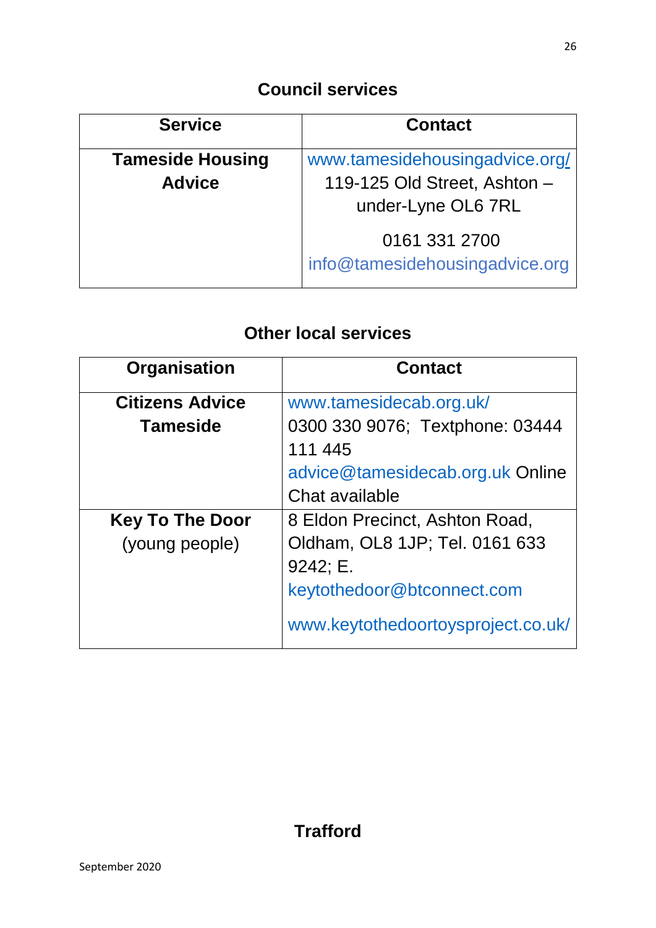| <b>Service</b>                           | <b>Contact</b>                                                                       |
|------------------------------------------|--------------------------------------------------------------------------------------|
| <b>Tameside Housing</b><br><b>Advice</b> | www.tamesidehousingadvice.org/<br>119-125 Old Street, Ashton -<br>under-Lyne OL6 7RL |
|                                          | 0161 331 2700<br>info@tamesidehousingadvice.org                                      |

| Organisation           | <b>Contact</b>                                     |
|------------------------|----------------------------------------------------|
| <b>Citizens Advice</b> | www.tamesidecab.org.uk/                            |
| <b>Tameside</b>        | 0300 330 9076; Textphone: 03444<br>111 445         |
|                        | advice@tamesidecab.org.uk Online<br>Chat available |
| <b>Key To The Door</b> | 8 Eldon Precinct, Ashton Road,                     |
| (young people)         | Oldham, OL8 1JP; Tel. 0161 633                     |
|                        | 9242; E.                                           |
|                        | keytothedoor@btconnect.com                         |
|                        | www.keytothedoortoysproject.co.uk/                 |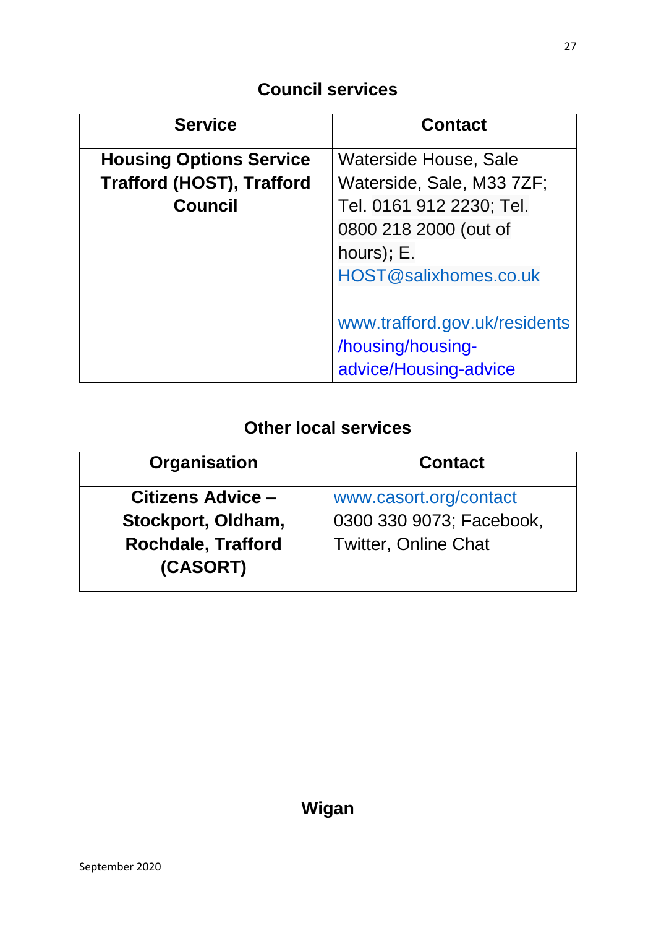| <b>Service</b>                   | <b>Contact</b>                |  |
|----------------------------------|-------------------------------|--|
| <b>Housing Options Service</b>   | Waterside House, Sale         |  |
| <b>Trafford (HOST), Trafford</b> | Waterside, Sale, M33 7ZF;     |  |
| <b>Council</b>                   | Tel. 0161 912 2230; Tel.      |  |
|                                  | 0800 218 2000 (out of         |  |
|                                  | hours); E.                    |  |
|                                  | HOST@salixhomes.co.uk         |  |
|                                  |                               |  |
|                                  | www.trafford.gov.uk/residents |  |
|                                  | /housing/housing-             |  |
|                                  | advice/Housing-advice         |  |

| <b>Contact</b>              |
|-----------------------------|
| www.casort.org/contact      |
| 0300 330 9073; Facebook,    |
| <b>Twitter, Online Chat</b> |
|                             |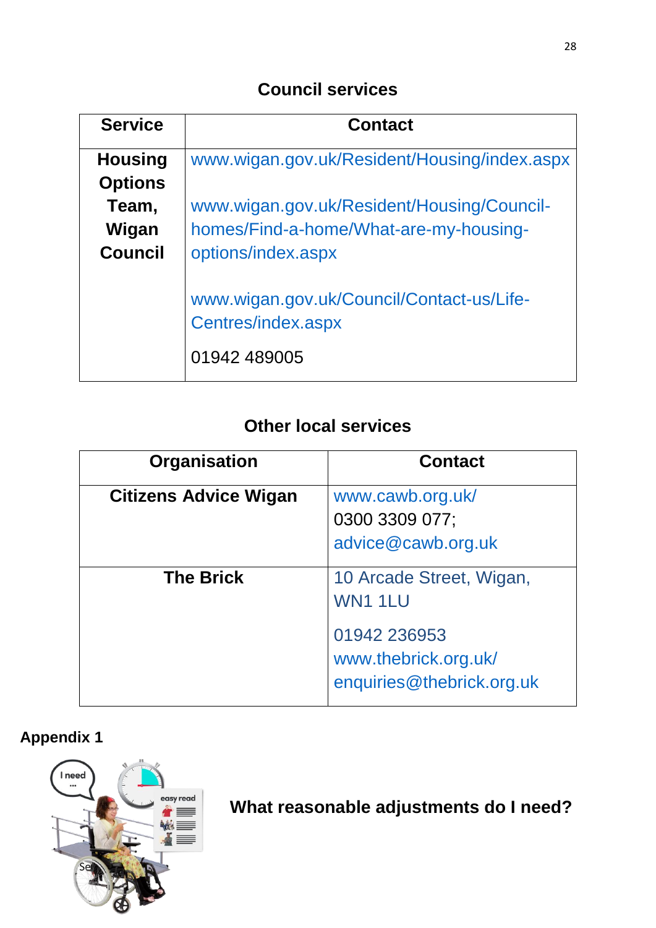| <b>Service</b> | <b>Contact</b>                                                                  |  |  |
|----------------|---------------------------------------------------------------------------------|--|--|
| <b>Housing</b> | www.wigan.gov.uk/Resident/Housing/index.aspx                                    |  |  |
| <b>Options</b> |                                                                                 |  |  |
| Team,          | www.wigan.gov.uk/Resident/Housing/Council-                                      |  |  |
| Wigan          | homes/Find-a-home/What-are-my-housing-                                          |  |  |
| <b>Council</b> | options/index.aspx                                                              |  |  |
|                | www.wigan.gov.uk/Council/Contact-us/Life-<br>Centres/index.aspx<br>01942 489005 |  |  |

# **Other local services**

| Organisation                 | <b>Contact</b>                                                    |
|------------------------------|-------------------------------------------------------------------|
| <b>Citizens Advice Wigan</b> | www.cawb.org.uk/<br>0300 3309 077;<br>advice@cawb.org.uk          |
| <b>The Brick</b>             | 10 Arcade Street, Wigan,<br>WN1 1LU                               |
|                              | 01942 236953<br>www.thebrick.org.uk/<br>enquiries@thebrick.org.uk |

# **Appendix 1**



*<b>R*  $\mathbf{w}$  what reasonable adjustments do I need?